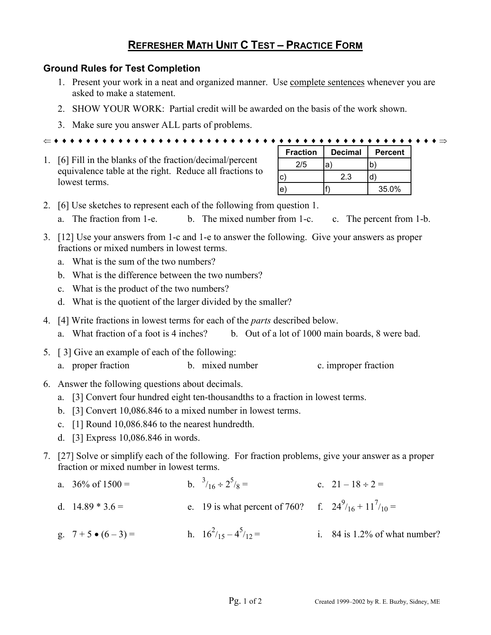## **REFRESHER MATH UNIT C TEST – PRACTICE FORM**

## **Ground Rules for Test Completion**

- 1. Present your work in a neat and organized manner. Use complete sentences whenever you are asked to make a statement.
- 2. SHOW YOUR WORK: Partial credit will be awarded on the basis of the work shown.
- 3. Make sure you answer ALL parts of problems.

```
⇐ ♦ ♦ ♦ ♦ ♦ ♦ ♦ ♦ ♦ ♦ ♦ ♦ ♦ ♦ ♦ ♦ ♦ ♦ ♦ ♦ ♦ ♦ ♦ ♦ ♦ ♦ ♦ ♦ ♦ ♦ ♦ ♦ ♦ ♦ ♦ ♦ ♦ ♦ ♦ ♦ ♦ ♦ ♦ ♦ ♦ ♦ ♦ ♦ ⇒
```
1. [6] Fill in the blanks of the fraction/decimal/percent equivalence table at the right. Reduce all fractions to lowest terms.

| <b>Fraction</b> | <b>Decimal</b> | <b>Percent</b> |
|-----------------|----------------|----------------|
| 2/5             | a.             |                |
| c               | 2.3            |                |
| e               |                | 35.0%          |

- 2. [6] Use sketches to represent each of the following from question 1.
	- a. The fraction from 1-e. b. The mixed number from 1-c. c. The percent from 1-b.
- 3. [12] Use your answers from 1-c and 1-e to answer the following. Give your answers as proper fractions or mixed numbers in lowest terms.
	- a. What is the sum of the two numbers?
	- b. What is the difference between the two numbers?
	- c. What is the product of the two numbers?
	- d. What is the quotient of the larger divided by the smaller?
- 4. [4] Write fractions in lowest terms for each of the *parts* described below.
	- a. What fraction of a foot is 4 inches? b. Out of a lot of 1000 main boards, 8 were bad.
- 5. [ 3] Give an example of each of the following:
	- a. proper fraction b. mixed number c. improper fraction
- 6. Answer the following questions about decimals.
	- a. [3] Convert four hundred eight ten-thousandths to a fraction in lowest terms.
	- b. [3] Convert 10,086.846 to a mixed number in lowest terms.
	- c. [1] Round 10,086.846 to the nearest hundredth.
	- d. [3] Express 10,086.846 in words.
- 7. [27] Solve or simplify each of the following. For fraction problems, give your answer as a proper fraction or mixed number in lowest terms.
	- a.  $36\%$  of  $1500 =$ b.  $\frac{3}{16} \div 2^5 / 8 =$ c.  $21 - 18 \div 2 =$ d.  $14.89 * 3.6 =$  e. 19 is what percent of 760? f.  $24^{9}/_{16} + 11^{7}/_{10} =$ g.  $7 + 5 \bullet (6 - 3) =$  h.  $16^{2}/_{15} - 4^{5}$ i. 84 is  $1.2\%$  of what number?